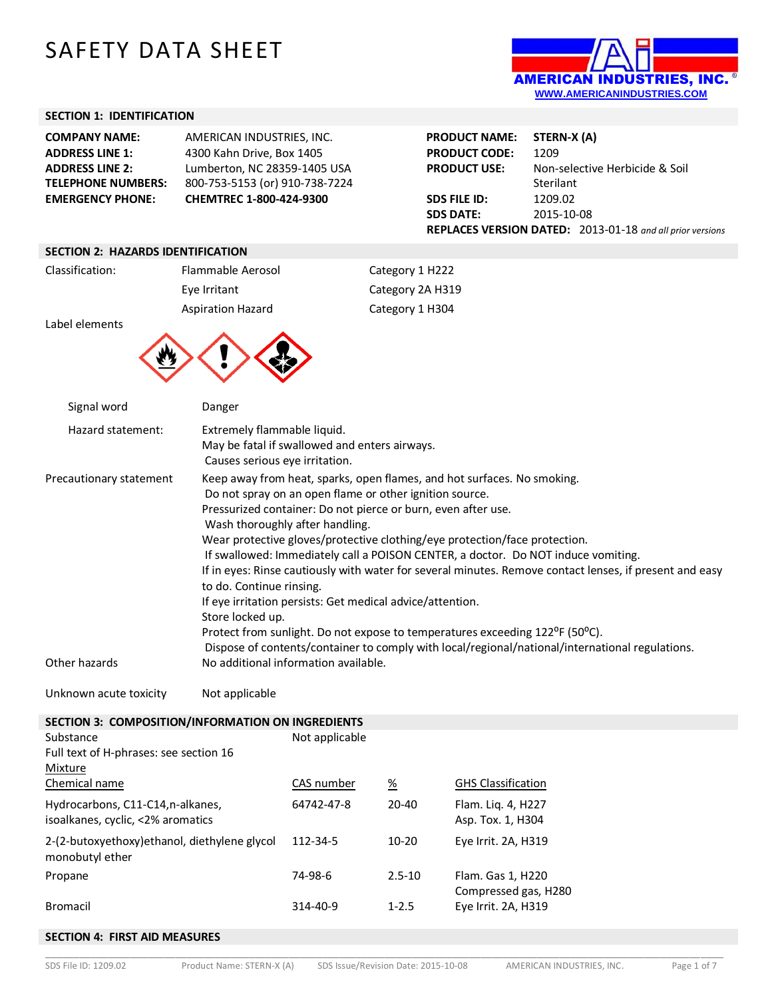# SAFETY DATA SHEET



#### **SECTION 1: IDENTIFICATION**

| <b>COMPANY NAME:</b>      | AMERICAN INDUSTRIES. INC.      |
|---------------------------|--------------------------------|
| <b>ADDRESS LINE 1:</b>    | 4300 Kahn Drive, Box 1405      |
| <b>ADDRESS LINE 2:</b>    | Lumberton, NC 28359-1405 USA   |
| <b>TELEPHONE NUMBERS:</b> | 800-753-5153 (or) 910-738-7224 |
| <b>EMERGENCY PHONE:</b>   | CHEMTREC 1-800-424-9300        |

| <b>PRODUCT NAME:</b> | STERN-X (A)                                                      |  |
|----------------------|------------------------------------------------------------------|--|
| <b>PRODUCT CODE:</b> | 1209                                                             |  |
| <b>PRODUCT USE:</b>  | Non-selective Herbicide & Soil                                   |  |
|                      | Sterilant                                                        |  |
| <b>SDS FILE ID:</b>  | 1209.02                                                          |  |
| <b>SDS DATE:</b>     | 2015-10-08                                                       |  |
|                      | <b>REPLACES VERSION DATED:</b> 2013-01-18 and all prior versions |  |

#### **SECTION 2: HAZARDS IDENTIFICATION**

| Classification: | Flammable Aerosol        | Category 1 H222  |
|-----------------|--------------------------|------------------|
|                 | Eye Irritant             | Category 2A H319 |
|                 | <b>Aspiration Hazard</b> | Category 1 H304  |
| Label elements  |                          |                  |
|                 |                          |                  |

| Signal word             | Danger                                                                                                                                                                                                                                                                                                                                                                                                                                                                                                                                                                                                                                                                                                                                                                                                                                         |
|-------------------------|------------------------------------------------------------------------------------------------------------------------------------------------------------------------------------------------------------------------------------------------------------------------------------------------------------------------------------------------------------------------------------------------------------------------------------------------------------------------------------------------------------------------------------------------------------------------------------------------------------------------------------------------------------------------------------------------------------------------------------------------------------------------------------------------------------------------------------------------|
| Hazard statement:       | Extremely flammable liquid.<br>May be fatal if swallowed and enters airways.<br>Causes serious eye irritation.                                                                                                                                                                                                                                                                                                                                                                                                                                                                                                                                                                                                                                                                                                                                 |
| Precautionary statement | Keep away from heat, sparks, open flames, and hot surfaces. No smoking.<br>Do not spray on an open flame or other ignition source.<br>Pressurized container: Do not pierce or burn, even after use.<br>Wash thoroughly after handling.<br>Wear protective gloves/protective clothing/eye protection/face protection.<br>If swallowed: Immediately call a POISON CENTER, a doctor. Do NOT induce vomiting.<br>If in eyes: Rinse cautiously with water for several minutes. Remove contact lenses, if present and easy<br>to do. Continue rinsing.<br>If eye irritation persists: Get medical advice/attention.<br>Store locked up.<br>Protect from sunlight. Do not expose to temperatures exceeding 122 <sup>o</sup> F (50 <sup>o</sup> C).<br>Dispose of contents/container to comply with local/regional/national/international regulations. |
| Other hazards           | No additional information available.                                                                                                                                                                                                                                                                                                                                                                                                                                                                                                                                                                                                                                                                                                                                                                                                           |

Unknown acute toxicity Mot applicable

#### **SECTION 3: COMPOSITION/INFORMATION ON INGREDIENTS**

| Substance<br>Full text of H-phrases: see section 16<br>Mixture         | Not applicable |            |                                             |
|------------------------------------------------------------------------|----------------|------------|---------------------------------------------|
| Chemical name                                                          | CAS number     | <u>%</u>   | <b>GHS Classification</b>                   |
| Hydrocarbons, C11-C14, n-alkanes,<br>isoalkanes, cyclic, <2% aromatics | 64742-47-8     | $20 - 40$  | Flam. Lig. 4, H227<br>Asp. Tox. 1, H304     |
| 2-(2-butoxyethoxy) ethanol, diethylene glycol<br>monobutyl ether       | 112-34-5       | $10-20$    | Eye Irrit. 2A, H319                         |
| Propane                                                                | 74-98-6        | $2.5 - 10$ | Flam. Gas 1, H220                           |
| Bromacil                                                               | 314-40-9       | $1 - 2.5$  | Compressed gas, H280<br>Eye Irrit. 2A, H319 |

#### **SECTION 4: FIRST AID MEASURES**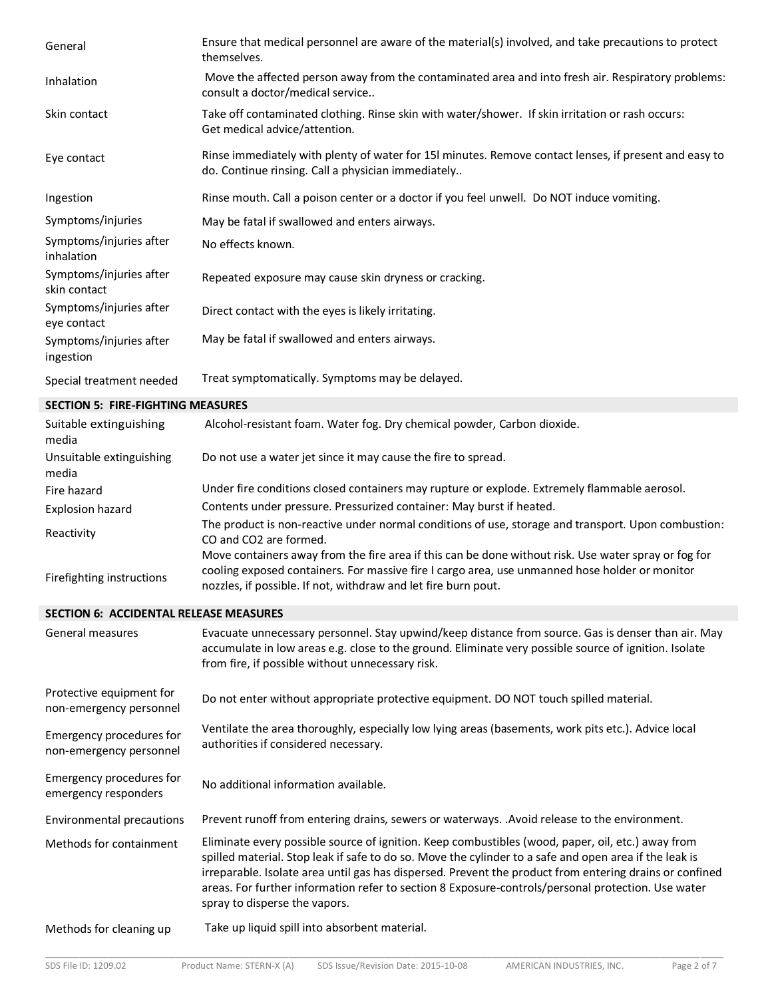| General                                             | Ensure that medical personnel are aware of the material(s) involved, and take precautions to protect<br>themselves.                                                                                                                                                                                                                                                                                                                                           |
|-----------------------------------------------------|---------------------------------------------------------------------------------------------------------------------------------------------------------------------------------------------------------------------------------------------------------------------------------------------------------------------------------------------------------------------------------------------------------------------------------------------------------------|
| Inhalation                                          | Move the affected person away from the contaminated area and into fresh air. Respiratory problems:<br>consult a doctor/medical service                                                                                                                                                                                                                                                                                                                        |
| Skin contact                                        | Take off contaminated clothing. Rinse skin with water/shower. If skin irritation or rash occurs:<br>Get medical advice/attention.                                                                                                                                                                                                                                                                                                                             |
| Eye contact                                         | Rinse immediately with plenty of water for 15I minutes. Remove contact lenses, if present and easy to<br>do. Continue rinsing. Call a physician immediately                                                                                                                                                                                                                                                                                                   |
| Ingestion                                           | Rinse mouth. Call a poison center or a doctor if you feel unwell. Do NOT induce vomiting.                                                                                                                                                                                                                                                                                                                                                                     |
| Symptoms/injuries                                   | May be fatal if swallowed and enters airways.                                                                                                                                                                                                                                                                                                                                                                                                                 |
| Symptoms/injuries after<br>inhalation               | No effects known.                                                                                                                                                                                                                                                                                                                                                                                                                                             |
| Symptoms/injuries after<br>skin contact             | Repeated exposure may cause skin dryness or cracking.                                                                                                                                                                                                                                                                                                                                                                                                         |
| Symptoms/injuries after<br>eye contact              | Direct contact with the eyes is likely irritating.                                                                                                                                                                                                                                                                                                                                                                                                            |
| Symptoms/injuries after<br>ingestion                | May be fatal if swallowed and enters airways.                                                                                                                                                                                                                                                                                                                                                                                                                 |
| Special treatment needed                            | Treat symptomatically. Symptoms may be delayed.                                                                                                                                                                                                                                                                                                                                                                                                               |
| <b>SECTION 5: FIRE-FIGHTING MEASURES</b>            |                                                                                                                                                                                                                                                                                                                                                                                                                                                               |
| Suitable extinguishing<br>media                     | Alcohol-resistant foam. Water fog. Dry chemical powder, Carbon dioxide.                                                                                                                                                                                                                                                                                                                                                                                       |
| Unsuitable extinguishing<br>media                   | Do not use a water jet since it may cause the fire to spread.                                                                                                                                                                                                                                                                                                                                                                                                 |
| Fire hazard                                         | Under fire conditions closed containers may rupture or explode. Extremely flammable aerosol.                                                                                                                                                                                                                                                                                                                                                                  |
| Explosion hazard                                    | Contents under pressure. Pressurized container: May burst if heated.                                                                                                                                                                                                                                                                                                                                                                                          |
| Reactivity                                          | The product is non-reactive under normal conditions of use, storage and transport. Upon combustion:<br>CO and CO2 are formed.                                                                                                                                                                                                                                                                                                                                 |
| Firefighting instructions                           | Move containers away from the fire area if this can be done without risk. Use water spray or fog for<br>cooling exposed containers. For massive fire I cargo area, use unmanned hose holder or monitor<br>nozzles, if possible. If not, withdraw and let fire burn pout.                                                                                                                                                                                      |
| <b>SECTION 6: ACCIDENTAL RELEASE MEASURES</b>       |                                                                                                                                                                                                                                                                                                                                                                                                                                                               |
| <b>General measures</b>                             | Evacuate unnecessary personnel. Stay upwind/keep distance from source. Gas is denser than air. May<br>accumulate in low areas e.g. close to the ground. Eliminate very possible source of ignition. Isolate<br>from fire, if possible without unnecessary risk.                                                                                                                                                                                               |
| Protective equipment for<br>non-emergency personnel | Do not enter without appropriate protective equipment. DO NOT touch spilled material.                                                                                                                                                                                                                                                                                                                                                                         |
| Emergency procedures for<br>non-emergency personnel | Ventilate the area thoroughly, especially low lying areas (basements, work pits etc.). Advice local<br>authorities if considered necessary.                                                                                                                                                                                                                                                                                                                   |
| Emergency procedures for<br>emergency responders    | No additional information available.                                                                                                                                                                                                                                                                                                                                                                                                                          |
| <b>Environmental precautions</b>                    | Prevent runoff from entering drains, sewers or waterways. .Avoid release to the environment.                                                                                                                                                                                                                                                                                                                                                                  |
| Methods for containment                             | Eliminate every possible source of ignition. Keep combustibles (wood, paper, oil, etc.) away from<br>spilled material. Stop leak if safe to do so. Move the cylinder to a safe and open area if the leak is<br>irreparable. Isolate area until gas has dispersed. Prevent the product from entering drains or confined<br>areas. For further information refer to section 8 Exposure-controls/personal protection. Use water<br>spray to disperse the vapors. |

Methods for cleaning up Take up liquid spill into absorbent material.

\_\_\_\_\_\_\_\_\_\_\_\_\_\_\_\_\_\_\_\_\_\_\_\_\_\_\_\_\_\_\_\_\_\_\_\_\_\_\_\_\_\_\_\_\_\_\_\_\_\_\_\_\_\_\_\_\_\_\_\_\_\_\_\_\_\_\_\_\_\_\_\_\_\_\_\_\_\_\_\_\_\_\_\_\_\_\_\_\_\_\_\_\_\_\_\_\_\_\_\_\_\_\_\_\_\_\_\_\_\_\_\_\_\_\_\_\_\_\_\_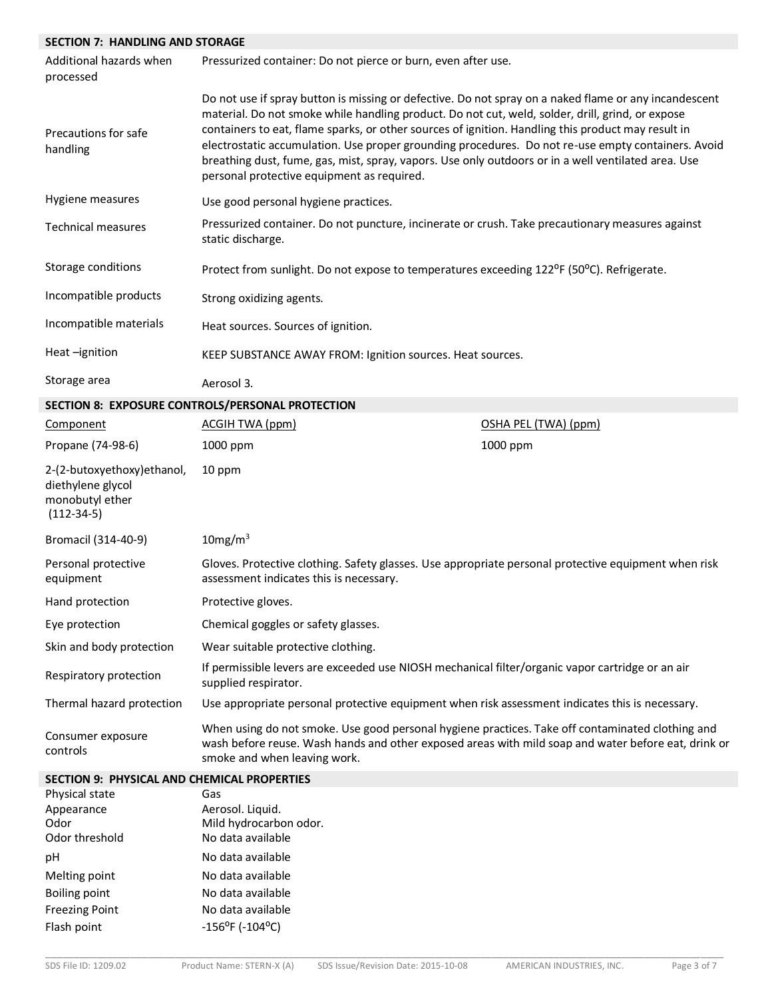## **SECTION 7: HANDLING AND STORAGE**

| Additional hazards when<br>processed                                                | Pressurized container: Do not pierce or burn, even after use.                                                                                                                                                                                                                                                                                                                                                                                                                                                                                                              |                      |
|-------------------------------------------------------------------------------------|----------------------------------------------------------------------------------------------------------------------------------------------------------------------------------------------------------------------------------------------------------------------------------------------------------------------------------------------------------------------------------------------------------------------------------------------------------------------------------------------------------------------------------------------------------------------------|----------------------|
| Precautions for safe<br>handling                                                    | Do not use if spray button is missing or defective. Do not spray on a naked flame or any incandescent<br>material. Do not smoke while handling product. Do not cut, weld, solder, drill, grind, or expose<br>containers to eat, flame sparks, or other sources of ignition. Handling this product may result in<br>electrostatic accumulation. Use proper grounding procedures. Do not re-use empty containers. Avoid<br>breathing dust, fume, gas, mist, spray, vapors. Use only outdoors or in a well ventilated area. Use<br>personal protective equipment as required. |                      |
| Hygiene measures                                                                    | Use good personal hygiene practices.                                                                                                                                                                                                                                                                                                                                                                                                                                                                                                                                       |                      |
| <b>Technical measures</b>                                                           | Pressurized container. Do not puncture, incinerate or crush. Take precautionary measures against<br>static discharge.                                                                                                                                                                                                                                                                                                                                                                                                                                                      |                      |
| Storage conditions                                                                  | Protect from sunlight. Do not expose to temperatures exceeding 122 <sup>o</sup> F (50 <sup>o</sup> C). Refrigerate.                                                                                                                                                                                                                                                                                                                                                                                                                                                        |                      |
| Incompatible products                                                               | Strong oxidizing agents.                                                                                                                                                                                                                                                                                                                                                                                                                                                                                                                                                   |                      |
| Incompatible materials                                                              | Heat sources. Sources of ignition.                                                                                                                                                                                                                                                                                                                                                                                                                                                                                                                                         |                      |
| Heat-ignition                                                                       | KEEP SUBSTANCE AWAY FROM: Ignition sources. Heat sources.                                                                                                                                                                                                                                                                                                                                                                                                                                                                                                                  |                      |
| Storage area                                                                        | Aerosol 3.                                                                                                                                                                                                                                                                                                                                                                                                                                                                                                                                                                 |                      |
|                                                                                     | SECTION 8: EXPOSURE CONTROLS/PERSONAL PROTECTION                                                                                                                                                                                                                                                                                                                                                                                                                                                                                                                           |                      |
| Component                                                                           | <b>ACGIH TWA (ppm)</b>                                                                                                                                                                                                                                                                                                                                                                                                                                                                                                                                                     | OSHA PEL (TWA) (ppm) |
| Propane (74-98-6)                                                                   | 1000 ppm                                                                                                                                                                                                                                                                                                                                                                                                                                                                                                                                                                   | 1000 ppm             |
| 2-(2-butoxyethoxy) ethanol,<br>diethylene glycol<br>monobutyl ether<br>$(112-34-5)$ | 10 ppm                                                                                                                                                                                                                                                                                                                                                                                                                                                                                                                                                                     |                      |
| Bromacil (314-40-9)                                                                 | 10mg/m <sup>3</sup>                                                                                                                                                                                                                                                                                                                                                                                                                                                                                                                                                        |                      |
| Personal protective<br>equipment                                                    | Gloves. Protective clothing. Safety glasses. Use appropriate personal protective equipment when risk<br>assessment indicates this is necessary.                                                                                                                                                                                                                                                                                                                                                                                                                            |                      |
| Hand protection                                                                     | Protective gloves.                                                                                                                                                                                                                                                                                                                                                                                                                                                                                                                                                         |                      |
| Eye protection                                                                      | Chemical goggles or safety glasses.                                                                                                                                                                                                                                                                                                                                                                                                                                                                                                                                        |                      |
| Skin and body protection                                                            | Wear suitable protective clothing.                                                                                                                                                                                                                                                                                                                                                                                                                                                                                                                                         |                      |
| Respiratory protection                                                              | If permissible levers are exceeded use NIOSH mechanical filter/organic vapor cartridge or an air<br>supplied respirator.                                                                                                                                                                                                                                                                                                                                                                                                                                                   |                      |
| Thermal hazard protection                                                           | Use appropriate personal protective equipment when risk assessment indicates this is necessary.                                                                                                                                                                                                                                                                                                                                                                                                                                                                            |                      |
|                                                                                     |                                                                                                                                                                                                                                                                                                                                                                                                                                                                                                                                                                            |                      |

Consumer exposure controls When using do not smoke. Use good personal hygiene practices. Take off contaminated clothing and wash before reuse. Wash hands and other exposed areas with mild soap and water before eat, drink or smoke and when leaving work.

#### **SECTION 9: PHYSICAL AND CHEMICAL PROPERTIES**

| Physical state        | Gas                                            |
|-----------------------|------------------------------------------------|
| Appearance            | Aerosol. Liquid.                               |
| Odor                  | Mild hydrocarbon odor.                         |
| Odor threshold        | No data available                              |
| рH                    | No data available                              |
| Melting point         | No data available                              |
| Boiling point         | No data available                              |
| <b>Freezing Point</b> | No data available                              |
| Flash point           | $-156$ <sup>o</sup> F ( $-104$ <sup>o</sup> C) |
|                       |                                                |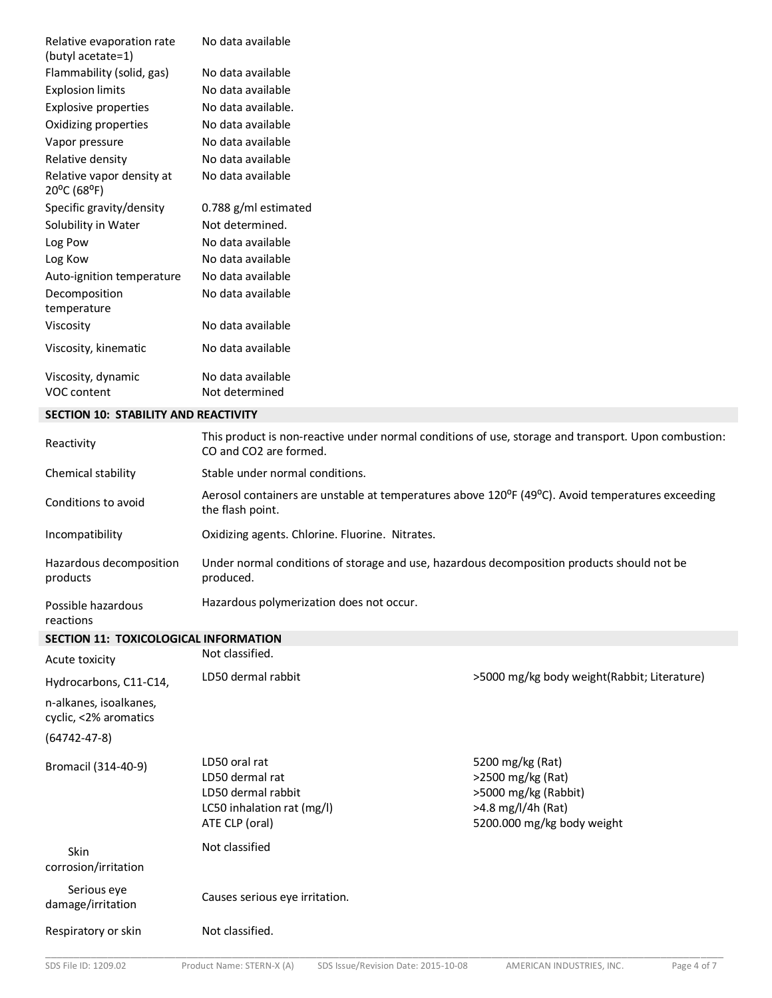| Relative evaporation rate<br>(butyl acetate=1) | No data available                   |
|------------------------------------------------|-------------------------------------|
| Flammability (solid, gas)                      | No data available                   |
| <b>Explosion limits</b>                        | No data available                   |
| <b>Explosive properties</b>                    | No data available.                  |
| Oxidizing properties                           | No data available                   |
| Vapor pressure                                 | No data available                   |
| Relative density                               | No data available                   |
| Relative vapor density at<br>20°C (68°F)       | No data available                   |
| Specific gravity/density                       | 0.788 g/ml estimated                |
| Solubility in Water                            | Not determined.                     |
| Log Pow                                        | No data available                   |
| Log Kow                                        | No data available                   |
| Auto-ignition temperature                      | No data available                   |
| Decomposition<br>temperature                   | No data available                   |
| Viscosity                                      | No data available                   |
| Viscosity, kinematic                           | No data available                   |
| Viscosity, dynamic<br>VOC content              | No data available<br>Not determined |

#### **SECTION 10: STABILITY AND REACTIVITY**

| Reactivity                          | This product is non-reactive under normal conditions of use, storage and transport. Upon combustion:<br>CO and CO2 are formed.                 |
|-------------------------------------|------------------------------------------------------------------------------------------------------------------------------------------------|
| Chemical stability                  | Stable under normal conditions.                                                                                                                |
| Conditions to avoid                 | Aerosol containers are unstable at temperatures above 120 <sup>o</sup> F (49 <sup>o</sup> C). Avoid temperatures exceeding<br>the flash point. |
| Incompatibility                     | Oxidizing agents. Chlorine. Fluorine. Nitrates.                                                                                                |
| Hazardous decomposition<br>products | Under normal conditions of storage and use, hazardous decomposition products should not be<br>produced.                                        |
| Possible hazardous<br>reactions     | Hazardous polymerization does not occur.                                                                                                       |

#### **SECTION 11: TOXICOLOGICAL INFORMATION**

| 95511011 11. TOMCOEOGICAE INTONITATION          | Not classified.                                                                                        |                                                                                                                   |
|-------------------------------------------------|--------------------------------------------------------------------------------------------------------|-------------------------------------------------------------------------------------------------------------------|
| Acute toxicity                                  |                                                                                                        |                                                                                                                   |
| Hydrocarbons, C11-C14,                          | LD50 dermal rabbit                                                                                     | >5000 mg/kg body weight(Rabbit; Literature)                                                                       |
| n-alkanes, isoalkanes,<br>cyclic, <2% aromatics |                                                                                                        |                                                                                                                   |
| $(64742 - 47 - 8)$                              |                                                                                                        |                                                                                                                   |
| Bromacil (314-40-9)                             | LD50 oral rat<br>LD50 dermal rat<br>LD50 dermal rabbit<br>LC50 inhalation rat (mg/l)<br>ATE CLP (oral) | 5200 mg/kg (Rat)<br>>2500 mg/kg (Rat)<br>>5000 mg/kg (Rabbit)<br>>4.8 mg/l/4h (Rat)<br>5200.000 mg/kg body weight |
| <b>Skin</b><br>corrosion/irritation             | Not classified                                                                                         |                                                                                                                   |
| Serious eye<br>damage/irritation                | Causes serious eye irritation.                                                                         |                                                                                                                   |
| Respiratory or skin                             | Not classified.                                                                                        |                                                                                                                   |
|                                                 |                                                                                                        |                                                                                                                   |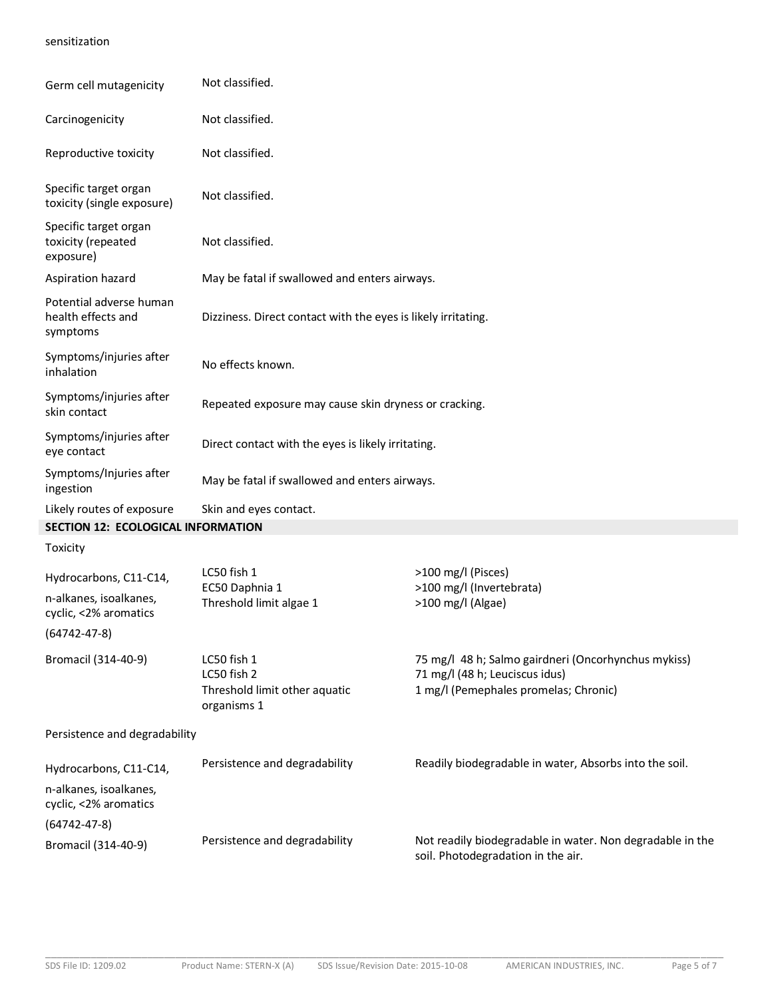### sensitization

| Germ cell mutagenicity                                    | Not classified.                                                            |                                                                                                                                |  |
|-----------------------------------------------------------|----------------------------------------------------------------------------|--------------------------------------------------------------------------------------------------------------------------------|--|
| Carcinogenicity                                           | Not classified.                                                            |                                                                                                                                |  |
| Reproductive toxicity                                     | Not classified.                                                            |                                                                                                                                |  |
| Specific target organ<br>toxicity (single exposure)       | Not classified.                                                            |                                                                                                                                |  |
| Specific target organ<br>toxicity (repeated<br>exposure)  | Not classified.                                                            |                                                                                                                                |  |
| Aspiration hazard                                         | May be fatal if swallowed and enters airways.                              |                                                                                                                                |  |
| Potential adverse human<br>health effects and<br>symptoms | Dizziness. Direct contact with the eyes is likely irritating.              |                                                                                                                                |  |
| Symptoms/injuries after<br>inhalation                     | No effects known.                                                          |                                                                                                                                |  |
| Symptoms/injuries after<br>skin contact                   | Repeated exposure may cause skin dryness or cracking.                      |                                                                                                                                |  |
| Symptoms/injuries after<br>eye contact                    | Direct contact with the eyes is likely irritating.                         |                                                                                                                                |  |
| Symptoms/Injuries after<br>ingestion                      | May be fatal if swallowed and enters airways.                              |                                                                                                                                |  |
| Likely routes of exposure                                 | Skin and eyes contact.                                                     |                                                                                                                                |  |
| SECTION 12: ECOLOGICAL INFORMATION                        |                                                                            |                                                                                                                                |  |
| Toxicity                                                  |                                                                            |                                                                                                                                |  |
| Hydrocarbons, C11-C14,                                    | LC50 fish 1                                                                | >100 mg/l (Pisces)                                                                                                             |  |
| n-alkanes, isoalkanes,<br>cyclic, <2% aromatics           | EC50 Daphnia 1<br>Threshold limit algae 1                                  | >100 mg/l (Invertebrata)<br>>100 mg/l (Algae)                                                                                  |  |
| $(64742 - 47 - 8)$                                        |                                                                            |                                                                                                                                |  |
| Bromacil (314-40-9)                                       | LC50 fish 1<br>LC50 fish 2<br>Threshold limit other aquatic<br>organisms 1 | 75 mg/l 48 h; Salmo gairdneri (Oncorhynchus mykiss)<br>71 mg/l (48 h; Leuciscus idus)<br>1 mg/l (Pemephales promelas; Chronic) |  |
| Persistence and degradability                             |                                                                            |                                                                                                                                |  |
| Hydrocarbons, C11-C14,                                    | Persistence and degradability                                              | Readily biodegradable in water, Absorbs into the soil.                                                                         |  |
| n-alkanes, isoalkanes,<br>cyclic, <2% aromatics           |                                                                            |                                                                                                                                |  |
| $(64742 - 47 - 8)$                                        |                                                                            |                                                                                                                                |  |
| Bromacil (314-40-9)                                       | Persistence and degradability                                              | Not readily biodegradable in water. Non degradable in the<br>soil. Photodegradation in the air.                                |  |

\_\_\_\_\_\_\_\_\_\_\_\_\_\_\_\_\_\_\_\_\_\_\_\_\_\_\_\_\_\_\_\_\_\_\_\_\_\_\_\_\_\_\_\_\_\_\_\_\_\_\_\_\_\_\_\_\_\_\_\_\_\_\_\_\_\_\_\_\_\_\_\_\_\_\_\_\_\_\_\_\_\_\_\_\_\_\_\_\_\_\_\_\_\_\_\_\_\_\_\_\_\_\_\_\_\_\_\_\_\_\_\_\_\_\_\_\_\_\_\_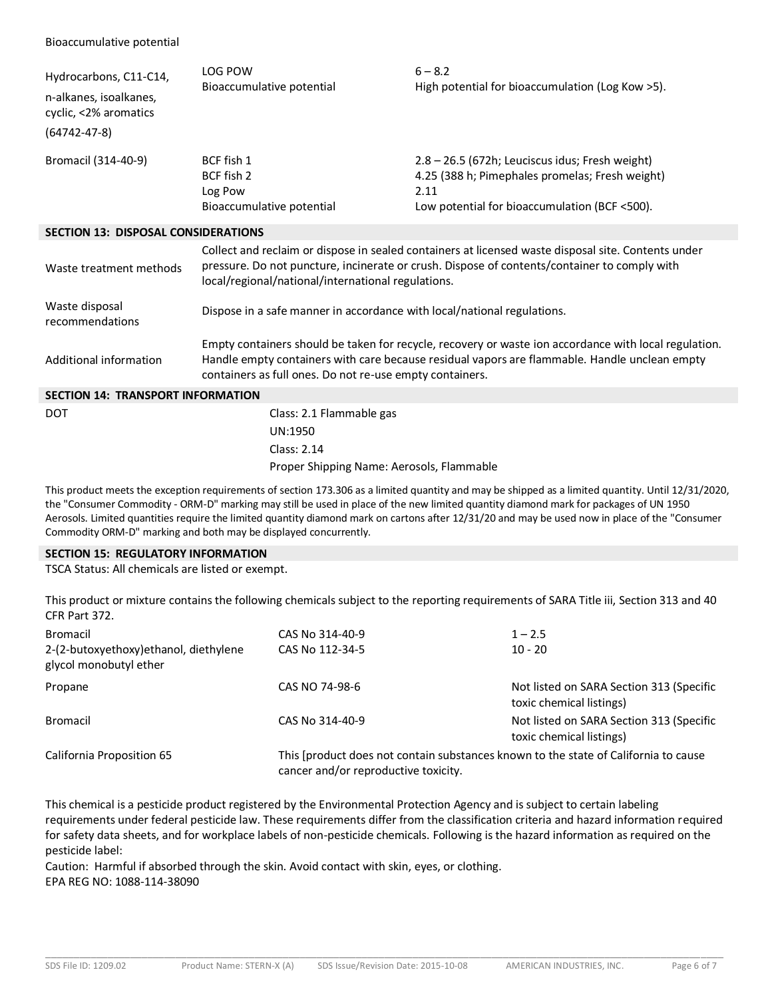| Hydrocarbons, C11-C14,<br>n-alkanes, isoalkanes,<br>cyclic, <2% aromatics<br>$(64742 - 47 - 8)$ | <b>LOG POW</b><br>Bioaccumulative potential                                                                                                                                                                                                                        | $6 - 8.2$<br>High potential for bioaccumulation (Log Kow >5).                                                                                               |  |  |
|-------------------------------------------------------------------------------------------------|--------------------------------------------------------------------------------------------------------------------------------------------------------------------------------------------------------------------------------------------------------------------|-------------------------------------------------------------------------------------------------------------------------------------------------------------|--|--|
| Bromacil (314-40-9)                                                                             | BCF fish 1<br>BCF fish 2<br>Log Pow<br>Bioaccumulative potential                                                                                                                                                                                                   | 2.8 - 26.5 (672h; Leuciscus idus; Fresh weight)<br>4.25 (388 h; Pimephales promelas; Fresh weight)<br>2.11<br>Low potential for bioaccumulation (BCF <500). |  |  |
| <b>SECTION 13: DISPOSAL CONSIDERATIONS</b>                                                      |                                                                                                                                                                                                                                                                    |                                                                                                                                                             |  |  |
| Waste treatment methods                                                                         | Collect and reclaim or dispose in sealed containers at licensed waste disposal site. Contents under<br>pressure. Do not puncture, incinerate or crush. Dispose of contents/container to comply with<br>local/regional/national/international regulations.          |                                                                                                                                                             |  |  |
| Waste disposal<br>recommendations                                                               | Dispose in a safe manner in accordance with local/national regulations.                                                                                                                                                                                            |                                                                                                                                                             |  |  |
| Additional information                                                                          | Empty containers should be taken for recycle, recovery or waste ion accordance with local regulation.<br>Handle empty containers with care because residual vapors are flammable. Handle unclean empty<br>containers as full ones. Do not re-use empty containers. |                                                                                                                                                             |  |  |
| <b>SECTION 14: TRANSPORT INFORMATION</b>                                                        |                                                                                                                                                                                                                                                                    |                                                                                                                                                             |  |  |
| <b>DOT</b>                                                                                      | Class: 2.1 Flammable gas<br>UN:1950<br>Class: 2.14                                                                                                                                                                                                                 |                                                                                                                                                             |  |  |
|                                                                                                 | Proper Shipping Name: Aerosols, Flammable                                                                                                                                                                                                                          |                                                                                                                                                             |  |  |

This product meets the exception requirements of section 173.306 as a limited quantity and may be shipped as a limited quantity. Until 12/31/2020, the "Consumer Commodity - ORM-D" marking may still be used in place of the new limited quantity diamond mark for packages of UN 1950 Aerosols. Limited quantities require the limited quantity diamond mark on cartons after 12/31/20 and may be used now in place of the "Consumer Commodity ORM-D" marking and both may be displayed concurrently.

#### **SECTION 15: REGULATORY INFORMATION**

TSCA Status: All chemicals are listed or exempt.

This product or mixture contains the following chemicals subject to the reporting requirements of SARA Title iii, Section 313 and 40 CFR Part 372.

| Bromacil<br>2-(2-butoxyethoxy) ethanol, diethylene<br>glycol monobutyl ether | CAS No 314-40-9<br>CAS No 112-34-5                                                                                          | $1 - 2.5$<br>$10 - 20$                                               |
|------------------------------------------------------------------------------|-----------------------------------------------------------------------------------------------------------------------------|----------------------------------------------------------------------|
| Propane                                                                      | CAS NO 74-98-6                                                                                                              | Not listed on SARA Section 313 (Specific<br>toxic chemical listings) |
| Bromacil                                                                     | CAS No 314-40-9                                                                                                             | Not listed on SARA Section 313 (Specific<br>toxic chemical listings) |
| California Proposition 65                                                    | This [product does not contain substances known to the state of California to cause<br>cancer and/or reproductive toxicity. |                                                                      |

This chemical is a pesticide product registered by the Environmental Protection Agency and is subject to certain labeling requirements under federal pesticide law. These requirements differ from the classification criteria and hazard information required for safety data sheets, and for workplace labels of non-pesticide chemicals. Following is the hazard information as required on the pesticide label:

Caution: Harmful if absorbed through the skin. Avoid contact with skin, eyes, or clothing. EPA REG NO: 1088-114-38090